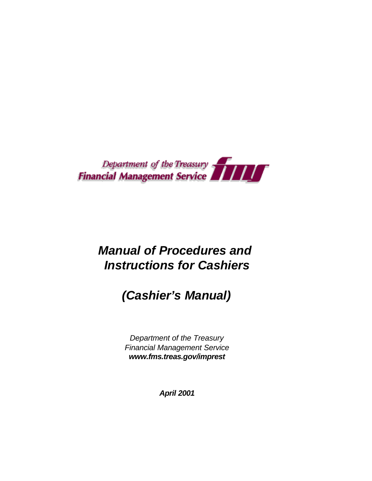

# *Manual of Procedures and Instructions for Cashiers*

# *(Cashier's Manual)*

*Department of the Treasury Financial Management Service www.fms.treas.gov/imprest* 

*April 2001*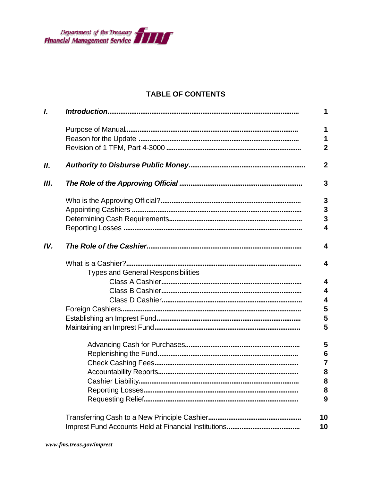

# **TABLE OF CONTENTS**

| L   |                                           | 1                       |
|-----|-------------------------------------------|-------------------------|
|     |                                           | 1                       |
|     |                                           | 1                       |
|     |                                           | $\overline{2}$          |
| Н.  |                                           | $\overline{2}$          |
| Ш.  |                                           | 3                       |
|     |                                           | $\mathbf{3}$            |
|     |                                           | $\overline{\mathbf{3}}$ |
|     |                                           | $\overline{3}$          |
|     |                                           | 4                       |
| IV. |                                           | $\overline{\mathbf{4}}$ |
|     |                                           | $\overline{\mathbf{4}}$ |
|     | <b>Types and General Responsibilities</b> |                         |
|     |                                           | $\overline{\mathbf{4}}$ |
|     |                                           | $\overline{\mathbf{4}}$ |
|     |                                           | $\overline{\mathbf{4}}$ |
|     |                                           | 5                       |
|     |                                           | 5                       |
|     |                                           | 5                       |
|     |                                           | 5                       |
|     |                                           | $6\phantom{1}6$         |
|     |                                           | $\overline{7}$          |
|     |                                           | 8                       |
|     |                                           | 8                       |
|     |                                           | 8                       |
|     |                                           | 9                       |
|     |                                           | 10                      |
|     |                                           | 10                      |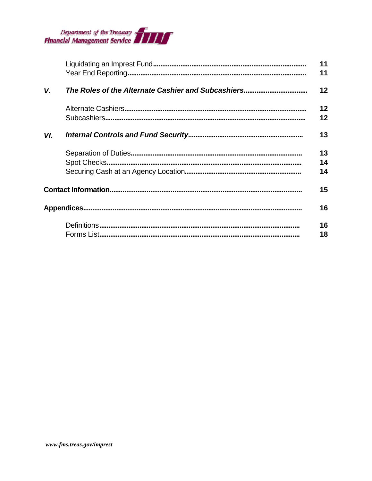

|     | 11 |
|-----|----|
|     | 11 |
| V.  | 12 |
|     | 12 |
|     | 12 |
| VI. | 13 |
|     | 13 |
|     | 14 |
|     | 14 |
|     | 15 |
|     | 16 |
|     | 16 |
|     | 18 |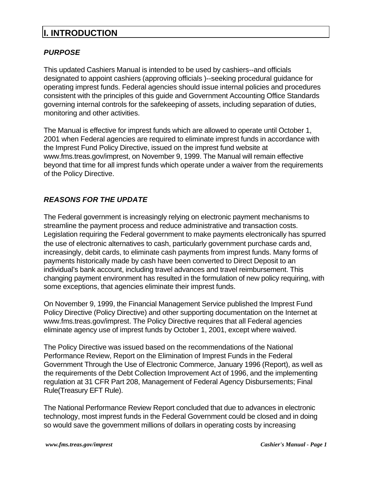# **I. INTRODUCTION**

# *PURPOSE*

This updated Cashiers Manual is intended to be used by cashiers--and officials designated to appoint cashiers (approving officials )--seeking procedural guidance for operating imprest funds. Federal agencies should issue internal policies and procedures consistent with the principles of this guide and Government Accounting Office Standards governing internal controls for the safekeeping of assets, including separation of duties, monitoring and other activities.

The Manual is effective for imprest funds which are allowed to operate until October 1, 2001 when Federal agencies are required to eliminate imprest funds in accordance with the Imprest Fund Policy Directive, issued on the imprest fund website at www.fms.treas.gov/imprest, on November 9, 1999. The Manual will remain effective beyond that time for all imprest funds which operate under a waiver from the requirements of the Policy Directive.

# *REASONS FOR THE UPDATE*

The Federal government is increasingly relying on electronic payment mechanisms to streamline the payment process and reduce administrative and transaction costs. Legislation requiring the Federal government to make payments electronically has spurred the use of electronic alternatives to cash, particularly government purchase cards and, increasingly, debit cards, to eliminate cash payments from imprest funds. Many forms of payments historically made by cash have been converted to Direct Deposit to an individual's bank account, including travel advances and travel reimbursement. This changing payment environment has resulted in the formulation of new policy requiring, with some exceptions, that agencies eliminate their imprest funds.

On November 9, 1999, the Financial Management Service published the Imprest Fund Policy Directive (Policy Directive) and other supporting documentation on the Internet at www.fms.treas.gov/imprest. The Policy Directive requires that all Federal agencies eliminate agency use of imprest funds by October 1, 2001, except where waived.

The Policy Directive was issued based on the recommendations of the National Performance Review, Report on the Elimination of Imprest Funds in the Federal Government Through the Use of Electronic Commerce, January 1996 (Report), as well as the requirements of the Debt Collection Improvement Act of 1996, and the implementing regulation at 31 CFR Part 208, Management of Federal Agency Disbursements; Final Rule(Treasury EFT Rule).

The National Performance Review Report concluded that due to advances in electronic technology, most imprest funds in the Federal Government could be closed and in doing so would save the government millions of dollars in operating costs by increasing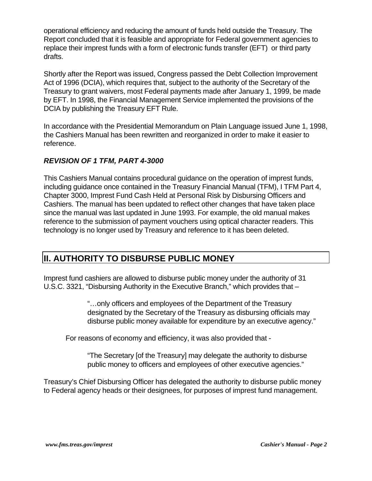operational efficiency and reducing the amount of funds held outside the Treasury. The Report concluded that it is feasible and appropriate for Federal government agencies to replace their imprest funds with a form of electronic funds transfer (EFT) or third party drafts.

Shortly after the Report was issued, Congress passed the Debt Collection Improvement Act of 1996 (DCIA), which requires that, subject to the authority of the Secretary of the Treasury to grant waivers, most Federal payments made after January 1, 1999, be made by EFT. In 1998, the Financial Management Service implemented the provisions of the DCIA by publishing the Treasury EFT Rule.

In accordance with the Presidential Memorandum on Plain Language issued June 1, 1998, the Cashiers Manual has been rewritten and reorganized in order to make it easier to reference.

# *REVISION OF 1 TFM, PART 4-3000*

This Cashiers Manual contains procedural guidance on the operation of imprest funds, including guidance once contained in the Treasury Financial Manual (TFM), I TFM Part 4, Chapter 3000, Imprest Fund Cash Held at Personal Risk by Disbursing Officers and Cashiers. The manual has been updated to reflect other changes that have taken place since the manual was last updated in June 1993. For example, the old manual makes reference to the submission of payment vouchers using optical character readers. This technology is no longer used by Treasury and reference to it has been deleted.

# **II. AUTHORITY TO DISBURSE PUBLIC MONEY**

Imprest fund cashiers are allowed to disburse public money under the authority of 31 U.S.C. 3321, "Disbursing Authority in the Executive Branch," which provides that –

> "…only officers and employees of the Department of the Treasury designated by the Secretary of the Treasury as disbursing officials may disburse public money available for expenditure by an executive agency."

For reasons of economy and efficiency, it was also provided that -

"The Secretary [of the Treasury] may delegate the authority to disburse public money to officers and employees of other executive agencies."

Treasury's Chief Disbursing Officer has delegated the authority to disburse public money to Federal agency heads or their designees, for purposes of imprest fund management.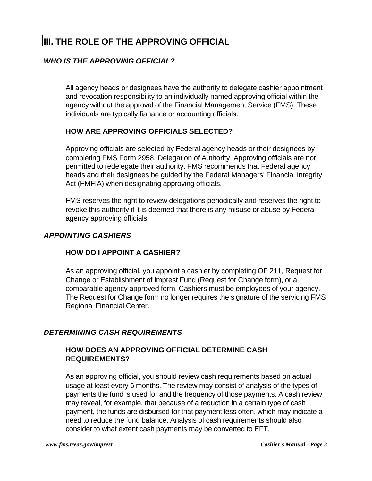# **III. THE ROLE OF THE APPROVING OFFICIAL**

# *WHO IS THE APPROVING OFFICIAL?*

All agency heads or designees have the authority to delegate cashier appointment and revocation responsibility to an individually named approving official within the agency without the approval of the Financial Management Service (FMS). These individuals are typically fianance or accounting officials.

# **HOW ARE APPROVING OFFICIALS SELECTED?**

Approving officials are selected by Federal agency heads or their designees by completing FMS Form 2958, Delegation of Authority. Approving officials are not permitted to redelegate their authority. FMS recommends that Federal agency heads and their designees be guided by the Federal Managers' Financial Integrity Act (FMFIA) when designating approving officials.

FMS reserves the right to review delegations periodically and reserves the right to revoke this authority if it is deemed that there is any misuse or abuse by Federal agency approving officials

# *APPOINTING CASHIERS*

# **HOW DO I APPOINT A CASHIER?**

As an approving official, you appoint a cashier by completing OF 211, Request for Change or Establishment of Imprest Fund (Request for Change form), or a comparable agency approved form. Cashiers must be employees of your agency. The Request for Change form no longer requires the signature of the servicing FMS Regional Financial Center.

# *DETERMINING CASH REQUIREMENTS*

# **HOW DOES AN APPROVING OFFICIAL DETERMINE CASH REQUIREMENTS?**

As an approving official, you should review cash requirements based on actual usage at least every 6 months. The review may consist of analysis of the types of payments the fund is used for and the frequency of those payments. A cash review may reveal, for example, that because of a reduction in a certain type of cash payment, the funds are disbursed for that payment less often, which may indicate a need to reduce the fund balance. Analysis of cash requirements should also consider to what extent cash payments may be converted to EFT.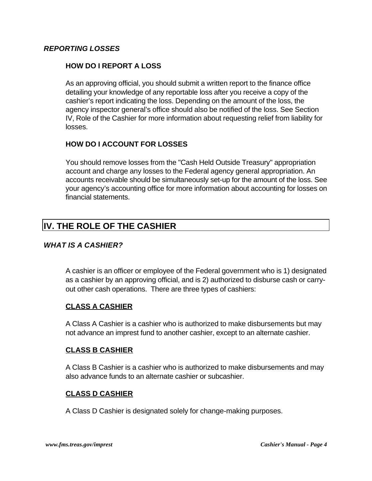# *REPORTING LOSSES*

## **HOW DO I REPORT A LOSS**

As an approving official, you should submit a written report to the finance office detailing your knowledge of any reportable loss after you receive a copy of the cashier's report indicating the loss. Depending on the amount of the loss, the agency inspector general's office should also be notified of the loss. See Section IV, Role of the Cashier for more information about requesting relief from liability for losses.

# **HOW DO I ACCOUNT FOR LOSSES**

You should remove losses from the "Cash Held Outside Treasury" appropriation account and charge any losses to the Federal agency general appropriation. An accounts receivable should be simultaneously set-up for the amount of the loss. See your agency's accounting office for more information about accounting for losses on financial statements.

# **IV. THE ROLE OF THE CASHIER**

## *WHAT IS A CASHIER?*

A cashier is an officer or employee of the Federal government who is 1) designated as a cashier by an approving official, and is 2) authorized to disburse cash or carryout other cash operations. There are three types of cashiers:

## **CLASS A CASHIER**

A Class A Cashier is a cashier who is authorized to make disbursements but may not advance an imprest fund to another cashier, except to an alternate cashier.

#### **CLASS B CASHIER**

A Class B Cashier is a cashier who is authorized to make disbursements and may also advance funds to an alternate cashier or subcashier.

## **CLASS D CASHIER**

A Class D Cashier is designated solely for change-making purposes.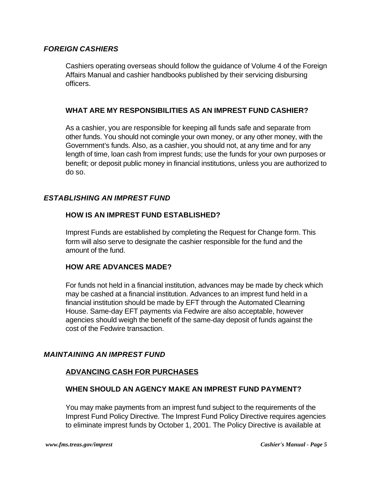# *FOREIGN CASHIERS*

Cashiers operating overseas should follow the guidance of Volume 4 of the Foreign Affairs Manual and cashier handbooks published by their servicing disbursing officers.

## **WHAT ARE MY RESPONSIBILITIES AS AN IMPREST FUND CASHIER?**

As a cashier, you are responsible for keeping all funds safe and separate from other funds. You should not comingle your own money, or any other money, with the Government's funds. Also, as a cashier, you should not, at any time and for any length of time, loan cash from imprest funds; use the funds for your own purposes or benefit; or deposit public money in financial institutions, unless you are authorized to do so.

# *ESTABLISHING AN IMPREST FUND*

## **HOW IS AN IMPREST FUND ESTABLISHED?**

Imprest Funds are established by completing the Request for Change form. This form will also serve to designate the cashier responsible for the fund and the amount of the fund.

## **HOW ARE ADVANCES MADE?**

For funds not held in a financial institution, advances may be made by check which may be cashed at a financial institution. Advances to an imprest fund held in a financial institution should be made by EFT through the Automated Clearning House. Same-day EFT payments via Fedwire are also acceptable, however agencies should weigh the benefit of the same-day deposit of funds against the cost of the Fedwire transaction.

## *MAINTAINING AN IMPREST FUND*

# **ADVANCING CASH FOR PURCHASES**

## **WHEN SHOULD AN AGENCY MAKE AN IMPREST FUND PAYMENT?**

You may make payments from an imprest fund subject to the requirements of the Imprest Fund Policy Directive. The Imprest Fund Policy Directive requires agencies to eliminate imprest funds by October 1, 2001. The Policy Directive is available at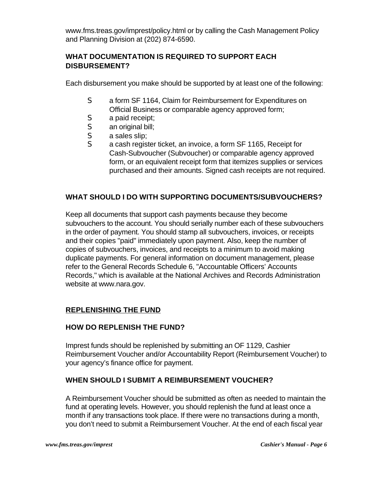www.fms.treas.gov/imprest/policy.html or by calling the Cash Management Policy and Planning Division at (202) 874-6590.

# **WHAT DOCUMENTATION IS REQUIRED TO SUPPORT EACH DISBURSEMENT?**

Each disbursement you make should be supported by at least one of the following:

- S a form SF 1164, Claim for Reimbursement for Expenditures on Official Business or comparable agency approved form;
- S a paid receipt;
- S an original bill;
- S a sales slip;
- S a cash register ticket, an invoice, a form SF 1165, Receipt for Cash-Subvoucher (Subvoucher) or comparable agency approved form, or an equivalent receipt form that itemizes supplies or services purchased and their amounts. Signed cash receipts are not required.

# **WHAT SHOULD I DO WITH SUPPORTING DOCUMENTS/SUBVOUCHERS?**

Keep all documents that support cash payments because they become subvouchers to the account. You should serially number each of these subvouchers in the order of payment. You should stamp all subvouchers, invoices, or receipts and their copies "paid" immediately upon payment. Also, keep the number of copies of subvouchers, invoices, and receipts to a minimum to avoid making duplicate payments. For general information on document management, please refer to the General Records Schedule 6, "Accountable Officers' Accounts Records," which is available at the National Archives and Records Administration website at www.nara.gov.

# **REPLENISHING THE FUND**

## **HOW DO REPLENISH THE FUND?**

Imprest funds should be replenished by submitting an OF 1129, Cashier Reimbursement Voucher and/or Accountability Report (Reimbursement Voucher) to your agency's finance office for payment.

## **WHEN SHOULD I SUBMIT A REIMBURSEMENT VOUCHER?**

A Reimbursement Voucher should be submitted as often as needed to maintain the fund at operating levels. However, you should replenish the fund at least once a month if any transactions took place. If there were no transactions during a month, you don't need to submit a Reimbursement Voucher. At the end of each fiscal year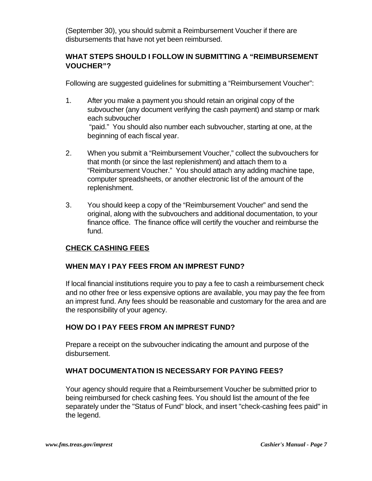(September 30), you should submit a Reimbursement Voucher if there are disbursements that have not yet been reimbursed.

# **WHAT STEPS SHOULD I FOLLOW IN SUBMITTING A "REIMBURSEMENT VOUCHER"?**

Following are suggested guidelines for submitting a "Reimbursement Voucher":

- 1. After you make a payment you should retain an original copy of the subvoucher (any document verifying the cash payment) and stamp or mark each subvoucher "paid." You should also number each subvoucher, starting at one, at the beginning of each fiscal year.
- 2. When you submit a "Reimbursement Voucher," collect the subvouchers for that month (or since the last replenishment) and attach them to a "Reimbursement Voucher." You should attach any adding machine tape, computer spreadsheets, or another electronic list of the amount of the replenishment.
- 3. You should keep a copy of the "Reimbursement Voucher" and send the original, along with the subvouchers and additional documentation, to your finance office. The finance office will certify the voucher and reimburse the fund.

# **CHECK CASHING FEES**

## **WHEN MAY I PAY FEES FROM AN IMPREST FUND?**

If local financial institutions require you to pay a fee to cash a reimbursement check and no other free or less expensive options are available, you may pay the fee from an imprest fund. Any fees should be reasonable and customary for the area and are the responsibility of your agency.

# **HOW DO I PAY FEES FROM AN IMPREST FUND?**

Prepare a receipt on the subvoucher indicating the amount and purpose of the disbursement.

# **WHAT DOCUMENTATION IS NECESSARY FOR PAYING FEES?**

Your agency should require that a Reimbursement Voucher be submitted prior to being reimbursed for check cashing fees. You should list the amount of the fee separately under the "Status of Fund" block, and insert "check-cashing fees paid" in the legend.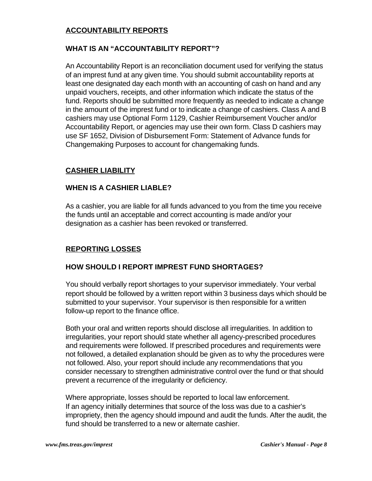# **ACCOUNTABILITY REPORTS**

# **WHAT IS AN "ACCOUNTABILITY REPORT"?**

An Accountability Report is an reconciliation document used for verifying the status of an imprest fund at any given time. You should submit accountability reports at least one designated day each month with an accounting of cash on hand and any unpaid vouchers, receipts, and other information which indicate the status of the fund. Reports should be submitted more frequently as needed to indicate a change in the amount of the imprest fund or to indicate a change of cashiers. Class A and B cashiers may use Optional Form 1129, Cashier Reimbursement Voucher and/or Accountability Report, or agencies may use their own form. Class D cashiers may use SF 1652, Division of Disbursement Form: Statement of Advance funds for Changemaking Purposes to account for changemaking funds.

# **CASHIER LIABILITY**

## **WHEN IS A CASHIER LIABLE?**

As a cashier, you are liable for all funds advanced to you from the time you receive the funds until an acceptable and correct accounting is made and/or your designation as a cashier has been revoked or transferred.

## **REPORTING LOSSES**

## **HOW SHOULD I REPORT IMPREST FUND SHORTAGES?**

You should verbally report shortages to your supervisor immediately. Your verbal report should be followed by a written report within 3 business days which should be submitted to your supervisor. Your supervisor is then responsible for a written follow-up report to the finance office.

Both your oral and written reports should disclose all irregularities. In addition to irregularities, your report should state whether all agency-prescribed procedures and requirements were followed. If prescribed procedures and requirements were not followed, a detailed explanation should be given as to why the procedures were not followed. Also, your report should include any recommendations that you consider necessary to strengthen administrative control over the fund or that should prevent a recurrence of the irregularity or deficiency.

Where appropriate, losses should be reported to local law enforcement. If an agency initially determines that source of the loss was due to a cashier's impropriety, then the agency should impound and audit the funds. After the audit, the fund should be transferred to a new or alternate cashier.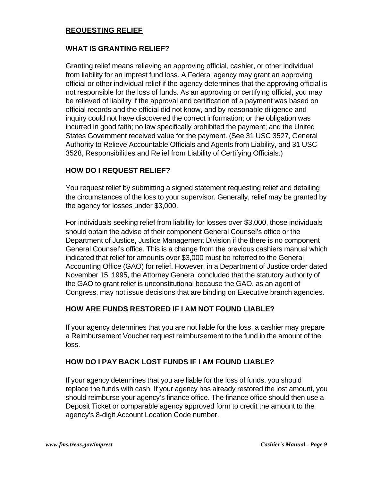#### **REQUESTING RELIEF**

#### **WHAT IS GRANTING RELIEF?**

Granting relief means relieving an approving official, cashier, or other individual from liability for an imprest fund loss. A Federal agency may grant an approving official or other individual relief if the agency determines that the approving official is not responsible for the loss of funds. As an approving or certifying official, you may be relieved of liability if the approval and certification of a payment was based on official records and the official did not know, and by reasonable diligence and inquiry could not have discovered the correct information; or the obligation was incurred in good faith; no law specifically prohibited the payment; and the United States Government received value for the payment. (See 31 USC 3527, General Authority to Relieve Accountable Officials and Agents from Liability, and 31 USC 3528, Responsibilities and Relief from Liability of Certifying Officials.)

#### **HOW DO I REQUEST RELIEF?**

You request relief by submitting a signed statement requesting relief and detailing the circumstances of the loss to your supervisor. Generally, relief may be granted by the agency for losses under \$3,000.

For individuals seeking relief from liability for losses over \$3,000, those individuals should obtain the advise of their component General Counsel's office or the Department of Justice, Justice Management Division if the there is no component General Counsel's office. This is a change from the previous cashiers manual which indicated that relief for amounts over \$3,000 must be referred to the General Accounting Office (GAO) for relief. However, in a Department of Justice order dated November 15, 1995, the Attorney General concluded that the statutory authority of the GAO to grant relief is unconstitutional because the GAO, as an agent of Congress, may not issue decisions that are binding on Executive branch agencies.

## **HOW ARE FUNDS RESTORED IF I AM NOT FOUND LIABLE?**

If your agency determines that you are not liable for the loss, a cashier may prepare a Reimbursement Voucher request reimbursement to the fund in the amount of the loss.

## **HOW DO I PAY BACK LOST FUNDS IF I AM FOUND LIABLE?**

If your agency determines that you are liable for the loss of funds, you should replace the funds with cash. If your agency has already restored the lost amount, you should reimburse your agency's finance office. The finance office should then use a Deposit Ticket or comparable agency approved form to credit the amount to the agency's 8-digit Account Location Code number.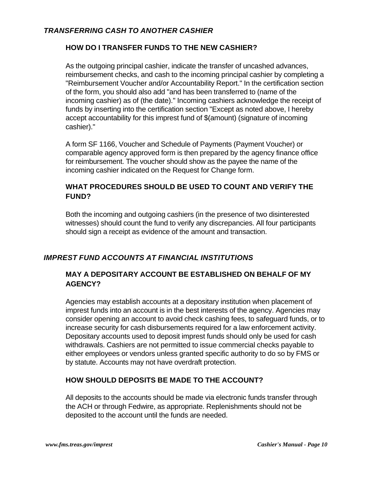## *TRANSFERRING CASH TO ANOTHER CASHIER*

# **HOW DO I TRANSFER FUNDS TO THE NEW CASHIER?**

As the outgoing principal cashier, indicate the transfer of uncashed advances, reimbursement checks, and cash to the incoming principal cashier by completing a "Reimbursement Voucher and/or Accountability Report." In the certification section of the form, you should also add "and has been transferred to (name of the incoming cashier) as of (the date)." Incoming cashiers acknowledge the receipt of funds by inserting into the certification section "Except as noted above, I hereby accept accountability for this imprest fund of \$(amount) (signature of incoming cashier)."

A form SF 1166, Voucher and Schedule of Payments (Payment Voucher) or comparable agency approved form is then prepared by the agency finance office for reimbursement. The voucher should show as the payee the name of the incoming cashier indicated on the Request for Change form.

# **WHAT PROCEDURES SHOULD BE USED TO COUNT AND VERIFY THE FUND?**

Both the incoming and outgoing cashiers (in the presence of two disinterested witnesses) should count the fund to verify any discrepancies. All four participants should sign a receipt as evidence of the amount and transaction.

# *IMPREST FUND ACCOUNTS AT FINANCIAL INSTITUTIONS*

# **MAY A DEPOSITARY ACCOUNT BE ESTABLISHED ON BEHALF OF MY AGENCY?**

Agencies may establish accounts at a depositary institution when placement of imprest funds into an account is in the best interests of the agency. Agencies may consider opening an account to avoid check cashing fees, to safeguard funds, or to increase security for cash disbursements required for a law enforcement activity. Depositary accounts used to deposit imprest funds should only be used for cash withdrawals. Cashiers are not permitted to issue commercial checks payable to either employees or vendors unless granted specific authority to do so by FMS or by statute. Accounts may not have overdraft protection.

## **HOW SHOULD DEPOSITS BE MADE TO THE ACCOUNT?**

All deposits to the accounts should be made via electronic funds transfer through the ACH or through Fedwire, as appropriate. Replenishments should not be deposited to the account until the funds are needed.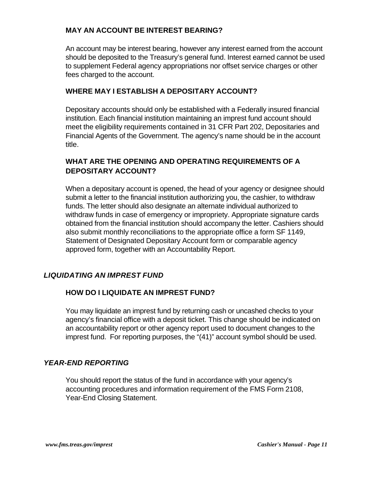# **MAY AN ACCOUNT BE INTEREST BEARING?**

An account may be interest bearing, however any interest earned from the account should be deposited to the Treasury's general fund. Interest earned cannot be used to supplement Federal agency appropriations nor offset service charges or other fees charged to the account.

## **WHERE MAY I ESTABLISH A DEPOSITARY ACCOUNT?**

Depositary accounts should only be established with a Federally insured financial institution. Each financial institution maintaining an imprest fund account should meet the eligibility requirements contained in 31 CFR Part 202, Depositaries and Financial Agents of the Government. The agency's name should be in the account title.

# **WHAT ARE THE OPENING AND OPERATING REQUIREMENTS OF A DEPOSITARY ACCOUNT?**

When a depositary account is opened, the head of your agency or designee should submit a letter to the financial institution authorizing you, the cashier, to withdraw funds. The letter should also designate an alternate individual authorized to withdraw funds in case of emergency or impropriety. Appropriate signature cards obtained from the financial institution should accompany the letter. Cashiers should also submit monthly reconciliations to the appropriate office a form SF 1149, Statement of Designated Depositary Account form or comparable agency approved form, together with an Accountability Report.

## *LIQUIDATING AN IMPREST FUND*

## **HOW DO I LIQUIDATE AN IMPREST FUND?**

You may liquidate an imprest fund by returning cash or uncashed checks to your agency's financial office with a deposit ticket. This change should be indicated on an accountability report or other agency report used to document changes to the imprest fund. For reporting purposes, the "(41)" account symbol should be used.

## *YEAR-END REPORTING*

You should report the status of the fund in accordance with your agency's accounting procedures and information requirement of the FMS Form 2108, Year-End Closing Statement.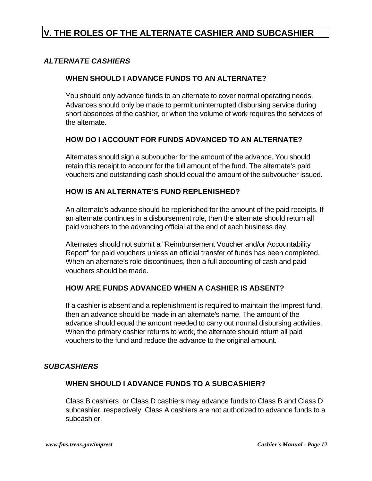# **V. THE ROLES OF THE ALTERNATE CASHIER AND SUBCASHIER**

# *ALTERNATE CASHIERS*

#### **WHEN SHOULD I ADVANCE FUNDS TO AN ALTERNATE?**

You should only advance funds to an alternate to cover normal operating needs. Advances should only be made to permit uninterrupted disbursing service during short absences of the cashier, or when the volume of work requires the services of the alternate.

#### **HOW DO I ACCOUNT FOR FUNDS ADVANCED TO AN ALTERNATE?**

Alternates should sign a subvoucher for the amount of the advance. You should retain this receipt to account for the full amount of the fund. The alternate's paid vouchers and outstanding cash should equal the amount of the subvoucher issued.

#### **HOW IS AN ALTERNATE'S FUND REPLENISHED?**

An alternate's advance should be replenished for the amount of the paid receipts. If an alternate continues in a disbursement role, then the alternate should return all paid vouchers to the advancing official at the end of each business day.

Alternates should not submit a "Reimbursement Voucher and/or Accountability Report" for paid vouchers unless an official transfer of funds has been completed. When an alternate's role discontinues, then a full accounting of cash and paid vouchers should be made.

## **HOW ARE FUNDS ADVANCED WHEN A CASHIER IS ABSENT?**

If a cashier is absent and a replenishment is required to maintain the imprest fund, then an advance should be made in an alternate's name. The amount of the advance should equal the amount needed to carry out normal disbursing activities. When the primary cashier returns to work, the alternate should return all paid vouchers to the fund and reduce the advance to the original amount.

#### *SUBCASHIERS*

#### **WHEN SHOULD I ADVANCE FUNDS TO A SUBCASHIER?**

Class B cashiers or Class D cashiers may advance funds to Class B and Class D subcashier, respectively. Class A cashiers are not authorized to advance funds to a subcashier.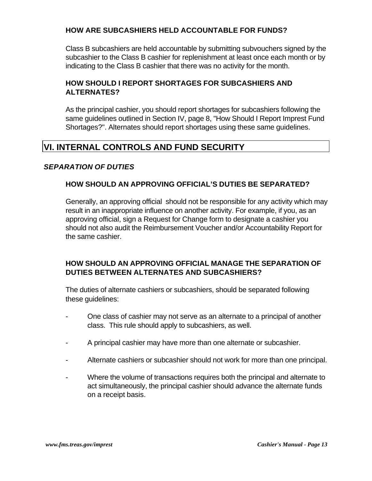# **HOW ARE SUBCASHIERS HELD ACCOUNTABLE FOR FUNDS?**

Class B subcashiers are held accountable by submitting subvouchers signed by the subcashier to the Class B cashier for replenishment at least once each month or by indicating to the Class B cashier that there was no activity for the month.

# **HOW SHOULD I REPORT SHORTAGES FOR SUBCASHIERS AND ALTERNATES?**

As the principal cashier, you should report shortages for subcashiers following the same guidelines outlined in Section IV, page 8, "How Should I Report Imprest Fund Shortages?". Alternates should report shortages using these same guidelines.

# **VI. INTERNAL CONTROLS AND FUND SECURITY**

## *SEPARATION OF DUTIES*

## **HOW SHOULD AN APPROVING OFFICIAL'S DUTIES BE SEPARATED?**

Generally, an approving official should not be responsible for any activity which may result in an inappropriate influence on another activity. For example, if you, as an approving official, sign a Request for Change form to designate a cashier you should not also audit the Reimbursement Voucher and/or Accountability Report for the same cashier.

# **HOW SHOULD AN APPROVING OFFICIAL MANAGE THE SEPARATION OF DUTIES BETWEEN ALTERNATES AND SUBCASHIERS?**

The duties of alternate cashiers or subcashiers, should be separated following these guidelines:

- One class of cashier may not serve as an alternate to a principal of another class. This rule should apply to subcashiers, as well.
- A principal cashier may have more than one alternate or subcashier.
- Alternate cashiers or subcashier should not work for more than one principal.
- Where the volume of transactions requires both the principal and alternate to act simultaneously, the principal cashier should advance the alternate funds on a receipt basis.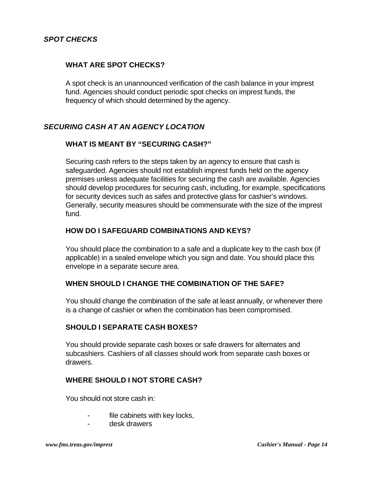## *SPOT CHECKS*

#### **WHAT ARE SPOT CHECKS?**

A spot check is an unannounced verification of the cash balance in your imprest fund. Agencies should conduct periodic spot checks on imprest funds, the frequency of which should determined by the agency.

## *SECURING CASH AT AN AGENCY LOCATION*

#### **WHAT IS MEANT BY "SECURING CASH?"**

Securing cash refers to the steps taken by an agency to ensure that cash is safeguarded. Agencies should not establish imprest funds held on the agency premises unless adequate facilities for securing the cash are available. Agencies should develop procedures for securing cash, including, for example, specifications for security devices such as safes and protective glass for cashier's windows. Generally, security measures should be commensurate with the size of the imprest fund.

#### **HOW DO I SAFEGUARD COMBINATIONS AND KEYS?**

You should place the combination to a safe and a duplicate key to the cash box (if applicable) in a sealed envelope which you sign and date. You should place this envelope in a separate secure area.

#### **WHEN SHOULD I CHANGE THE COMBINATION OF THE SAFE?**

You should change the combination of the safe at least annually, or whenever there is a change of cashier or when the combination has been compromised.

#### **SHOULD I SEPARATE CASH BOXES?**

You should provide separate cash boxes or safe drawers for alternates and subcashiers. Cashiers of all classes should work from separate cash boxes or drawers.

#### **WHERE SHOULD I NOT STORE CASH?**

You should not store cash in:

- file cabinets with key locks,
- desk drawers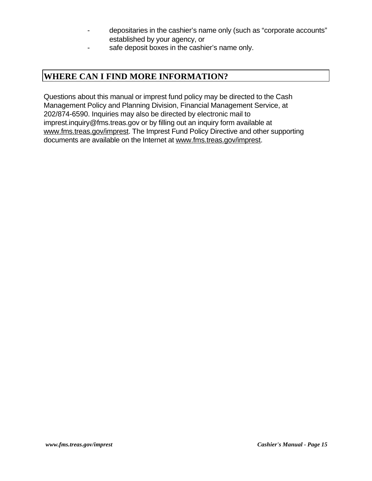- depositaries in the cashier's name only (such as "corporate accounts" established by your agency, or
- safe deposit boxes in the cashier's name only.

# **WHERE CAN I FIND MORE INFORMATION?**

Questions about this manual or imprest fund policy may be directed to the Cash Management Policy and Planning Division, Financial Management Service, at 202/874-6590. Inquiries may also be directed by electronic mail to imprest.inquiry@fms.treas.gov or by filling out an inquiry form available at www.fms.treas.gov/imprest. The Imprest Fund Policy Directive and other supporting documents are available on the Internet at www.fms.treas.gov/imprest.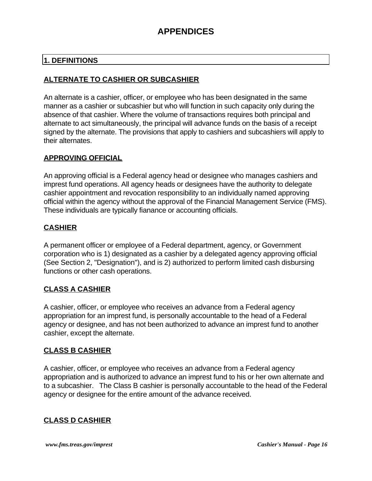# **1. DEFINITIONS**

# **ALTERNATE TO CASHIER OR SUBCASHIER**

An alternate is a cashier, officer, or employee who has been designated in the same manner as a cashier or subcashier but who will function in such capacity only during the absence of that cashier. Where the volume of transactions requires both principal and alternate to act simultaneously, the principal will advance funds on the basis of a receipt signed by the alternate. The provisions that apply to cashiers and subcashiers will apply to their alternates.

# **APPROVING OFFICIAL**

An approving official is a Federal agency head or designee who manages cashiers and imprest fund operations. All agency heads or designees have the authority to delegate cashier appointment and revocation responsibility to an individually named approving official within the agency without the approval of the Financial Management Service (FMS). These individuals are typically fianance or accounting officials.

# **CASHIER**

A permanent officer or employee of a Federal department, agency, or Government corporation who is 1) designated as a cashier by a delegated agency approving official (See Section 2, "Designation"), and is 2) authorized to perform limited cash disbursing functions or other cash operations.

# **CLASS A CASHIER**

A cashier, officer, or employee who receives an advance from a Federal agency appropriation for an imprest fund, is personally accountable to the head of a Federal agency or designee, and has not been authorized to advance an imprest fund to another cashier, except the alternate.

# **CLASS B CASHIER**

A cashier, officer, or employee who receives an advance from a Federal agency appropriation and is authorized to advance an imprest fund to his or her own alternate and to a subcashier. The Class B cashier is personally accountable to the head of the Federal agency or designee for the entire amount of the advance received.

# **CLASS D CASHIER**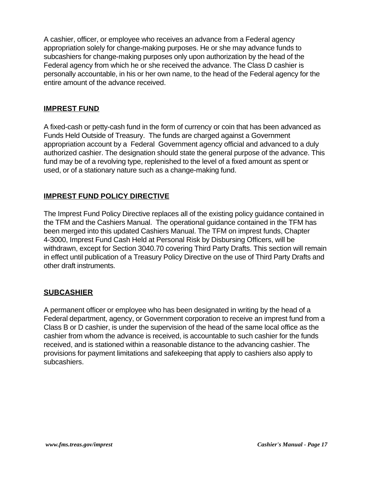A cashier, officer, or employee who receives an advance from a Federal agency appropriation solely for change-making purposes. He or she may advance funds to subcashiers for change-making purposes only upon authorization by the head of the Federal agency from which he or she received the advance. The Class D cashier is personally accountable, in his or her own name, to the head of the Federal agency for the entire amount of the advance received.

## **IMPREST FUND**

A fixed-cash or petty-cash fund in the form of currency or coin that has been advanced as Funds Held Outside of Treasury. The funds are charged against a Government appropriation account by a Federal Government agency official and advanced to a duly authorized cashier. The designation should state the general purpose of the advance. This fund may be of a revolving type, replenished to the level of a fixed amount as spent or used, or of a stationary nature such as a change-making fund.

# **IMPREST FUND POLICY DIRECTIVE**

The Imprest Fund Policy Directive replaces all of the existing policy guidance contained in the TFM and the Cashiers Manual. The operational guidance contained in the TFM has been merged into this updated Cashiers Manual. The TFM on imprest funds, Chapter 4-3000, Imprest Fund Cash Held at Personal Risk by Disbursing Officers, will be withdrawn, except for Section 3040.70 covering Third Party Drafts. This section will remain in effect until publication of a Treasury Policy Directive on the use of Third Party Drafts and other draft instruments.

## **SUBCASHIER**

A permanent officer or employee who has been designated in writing by the head of a Federal department, agency, or Government corporation to receive an imprest fund from a Class B or D cashier, is under the supervision of the head of the same local office as the cashier from whom the advance is received, is accountable to such cashier for the funds received, and is stationed within a reasonable distance to the advancing cashier. The provisions for payment limitations and safekeeping that apply to cashiers also apply to subcashiers.